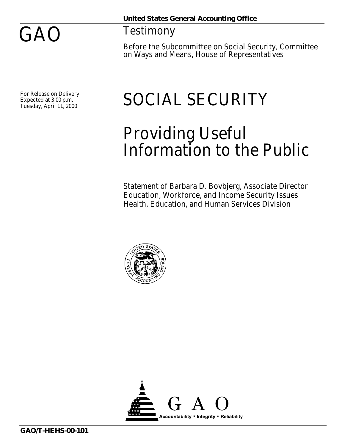

## Testimony

Before the Subcommittee on Social Security, Committee on Ways and Means, House of Representatives

For Release on Delivery Expected at 3:00 p.m. Tuesday, April 11, 2000

## SOCIAL SECURITY

## Providing Useful Information to the Public

Statement of Barbara D. Bovbjerg, Associate Director Education, Workforce, and Income Security Issues Health, Education, and Human Services Division



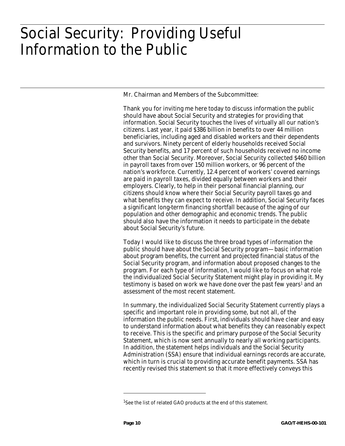## Social Security: Providing Useful Information to the Public

Mr. Chairman and Members of the Subcommittee:

Thank you for inviting me here today to discuss information the public should have about Social Security and strategies for providing that information. Social Security touches the lives of virtually all our nation's citizens. Last year, it paid \$386 billion in benefits to over 44 million beneficiaries, including aged and disabled workers and their dependents and survivors. Ninety percent of elderly households received Social Security benefits, and 17 percent of such households received no income other than Social Security. Moreover, Social Security collected \$460 billion in payroll taxes from over 150 million workers, or 96 percent of the nation's workforce. Currently, 12.4 percent of workers' covered earnings are paid in payroll taxes, divided equally between workers and their employers. Clearly, to help in their personal financial planning, our citizens should know where their Social Security payroll taxes go and what benefits they can expect to receive. In addition, Social Security faces a significant long-term financing shortfall because of the aging of our population and other demographic and economic trends. The public should also have the information it needs to participate in the debate about Social Security's future.

Today I would like to discuss the three broad types of information the public should have about the Social Security program—basic information about program benefits, the current and projected financial status of the Social Security program, and information about proposed changes to the program. For each type of information, I would like to focus on what role the individualized Social Security Statement might play in providing it. My testimony is based on work we have done over the past few years<sup>1</sup> and an assessment of the most recent statement.

In summary, the individualized Social Security Statement currently plays a specific and important role in providing some, but not all, of the information the public needs. First, individuals should have clear and easy to understand information about what benefits they can reasonably expect to receive. This is the specific and primary purpose of the Social Security Statement, which is now sent annually to nearly all working participants. In addition, the statement helps individuals and the Social Security Administration (SSA) ensure that individual earnings records are accurate, which in turn is crucial to providing accurate benefit payments. SSA has recently revised this statement so that it more effectively conveys this

<sup>&</sup>lt;sup>1</sup>See the list of related GAO products at the end of this statement.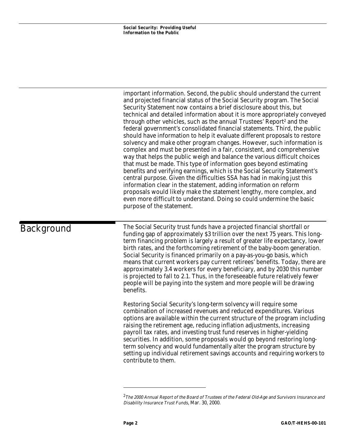important information. Second, the public should understand the current and projected financial status of the Social Security program. The Social Security Statement now contains a brief disclosure about this, but technical and detailed information about it is more appropriately conveyed through other vehicles, such as the annual Trustees' Report<sup>2</sup> and the federal government's consolidated financial statements. Third, the public should have information to help it evaluate different proposals to restore solvency and make other program changes. However, such information is complex and must be presented in a fair, consistent, and comprehensive way that helps the public weigh and balance the various difficult choices that must be made. This type of information goes beyond estimating benefits and verifying earnings, which is the Social Security Statement's central purpose. Given the difficulties SSA has had in making just this information clear in the statement, adding information on reform proposals would likely make the statement lengthy, more complex, and even more difficult to understand. Doing so could undermine the basic purpose of the statement.

Background

The Social Security trust funds have a projected financial shortfall or funding gap of approximately \$3 trillion over the next 75 years. This longterm financing problem is largely a result of greater life expectancy, lower birth rates, and the forthcoming retirement of the baby-boom generation. Social Security is financed primarily on a pay-as-you-go basis, which means that current workers pay current retirees' benefits. Today, there are approximately 3.4 workers for every beneficiary, and by 2030 this number is projected to fall to 2.1. Thus, in the foreseeable future relatively fewer people will be paying into the system and more people will be drawing benefits.

Restoring Social Security's long-term solvency will require some combination of increased revenues and reduced expenditures. Various options are available within the current structure of the program including raising the retirement age, reducing inflation adjustments, increasing payroll tax rates, and investing trust fund reserves in higher-yielding securities. In addition, some proposals would go beyond restoring longterm solvency and would fundamentally alter the program structure by setting up individual retirement savings accounts and requiring workers to contribute to them.

<sup>&</sup>lt;sup>2</sup>The 2000 Annual Report of the Board of Trustees of the Federal Old-Age and Survivors Insurance and Disability Insurance Trust Funds, Mar. 30, 2000.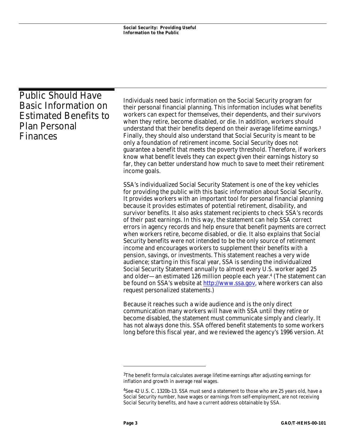| <b>Public Should Have</b><br><b>Basic Information on</b><br><b>Estimated Benefits to</b><br><b>Plan Personal</b><br>Finances | Individuals need basic information on the Social Security program for<br>their personal financial planning. This information includes what benefits<br>workers can expect for themselves, their dependents, and their survivors<br>when they retire, become disabled, or die. In addition, workers should<br>understand that their benefits depend on their average lifetime earnings. <sup>3</sup><br>Finally, they should also understand that Social Security is meant to be<br>only a foundation of retirement income. Social Security does not<br>guarantee a benefit that meets the poverty threshold. Therefore, if workers<br>know what benefit levels they can expect given their earnings history so<br>far, they can better understand how much to save to meet their retirement<br>income goals.                                                                                                                                                                                                                                                                                                                                                                                                                  |
|------------------------------------------------------------------------------------------------------------------------------|-------------------------------------------------------------------------------------------------------------------------------------------------------------------------------------------------------------------------------------------------------------------------------------------------------------------------------------------------------------------------------------------------------------------------------------------------------------------------------------------------------------------------------------------------------------------------------------------------------------------------------------------------------------------------------------------------------------------------------------------------------------------------------------------------------------------------------------------------------------------------------------------------------------------------------------------------------------------------------------------------------------------------------------------------------------------------------------------------------------------------------------------------------------------------------------------------------------------------------|
|                                                                                                                              | SSA's individualized Social Security Statement is one of the key vehicles<br>for providing the public with this basic information about Social Security.<br>It provides workers with an important tool for personal financial planning<br>because it provides estimates of potential retirement, disability, and<br>survivor benefits. It also asks statement recipients to check SSA's records<br>of their past earnings. In this way, the statement can help SSA correct<br>errors in agency records and help ensure that benefit payments are correct<br>when workers retire, become disabled, or die. It also explains that Social<br>Security benefits were not intended to be the only source of retirement<br>income and encourages workers to supplement their benefits with a<br>pension, savings, or investments. This statement reaches a very wide<br>audience; starting in this fiscal year, SSA is sending the individualized<br>Social Security Statement annually to almost every U.S. worker aged 25<br>and older—an estimated 126 million people each year. <sup>4</sup> (The statement can<br>be found on SSA's website at http://www.ssa.gov, where workers can also<br>request personalized statements.) |
|                                                                                                                              | Because it reaches such a wide audience and is the only direct<br>communication many workers will have with SSA until they retire or<br>become disabled, the statement must communicate simply and clearly. It<br>has not always done this. SSA offered benefit statements to some workers<br>long before this fiscal year, and we reviewed the agency's 1996 version. At                                                                                                                                                                                                                                                                                                                                                                                                                                                                                                                                                                                                                                                                                                                                                                                                                                                     |

<sup>&</sup>lt;sup>3</sup>The benefit formula calculates average lifetime earnings after adjusting earnings for inflation and growth in average real wages.

<sup>4</sup>See 42 U.S. C. 1320b-13. SSA must send a statement to those who are 25 years old, have a Social Security number, have wages or earnings from self-employment, are not receiving Social Security benefits, and have a current address obtainable by SSA.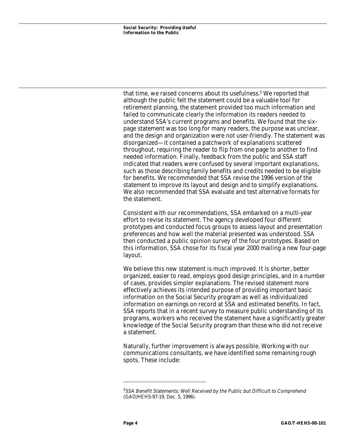that time, we raised concerns about its usefulness.5 We reported that although the public felt the statement could be a valuable tool for retirement planning, the statement provided too much information and failed to communicate clearly the information its readers needed to understand SSA's current programs and benefits. We found that the sixpage statement was too long for many readers, the purpose was unclear, and the design and organization were not user-friendly. The statement was disorganized—it contained a patchwork of explanations scattered throughout, requiring the reader to flip from one page to another to find needed information. Finally, feedback from the public and SSA staff indicated that readers were confused by several important explanations, such as those describing family benefits and credits needed to be eligible for benefits. We recommended that SSA revise the 1996 version of the statement to improve its layout and design and to simplify explanations. We also recommended that SSA evaluate and test alternative formats for the statement.

Consistent with our recommendations, SSA embarked on a multi-year effort to revise its statement. The agency developed four different prototypes and conducted focus groups to assess layout and presentation preferences and how well the material presented was understood. SSA then conducted a public opinion survey of the four prototypes. Based on this information, SSA chose for its fiscal year 2000 mailing a new four-page layout.

We believe this new statement is much improved. It is shorter, better organized, easier to read, employs good design principles, and in a number of cases, provides simpler explanations. The revised statement more effectively achieves its intended purpose of providing important basic information on the Social Security program as well as individualized information on earnings on record at SSA and estimated benefits. In fact, SSA reports that in a recent survey to measure public understanding of its programs, workers who received the statement have a significantly greater knowledge of the Social Security program than those who did not receive a statement.

Naturally, further improvement is always possible. Working with our communications consultants, we have identified some remaining rough spots. These include:

<sup>&</sup>lt;sup>5</sup>SSA Benefit Statements: Well Received by the Public but Difficult to Comprehend (GAO/HEHS-97-19, Dec. 5, 1996).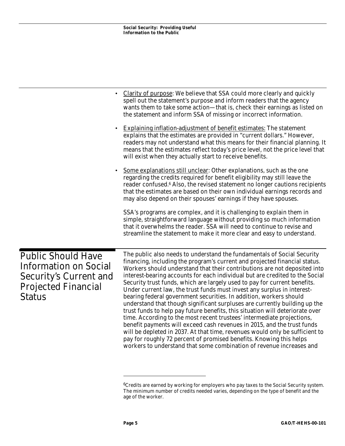|                                                                                                                                    | Clarity of purpose: We believe that SSA could more clearly and quickly<br>spell out the statement's purpose and inform readers that the agency<br>wants them to take some action—that is, check their earnings as listed on<br>the statement and inform SSA of missing or incorrect information.<br><b>Explaining inflation-adjustment of benefit estimates:</b> The statement<br>explains that the estimates are provided in "current dollars." However,<br>readers may not understand what this means for their financial planning. It<br>means that the estimates reflect today's price level, not the price level that<br>will exist when they actually start to receive benefits.                                                                                                                                                                                                                                                                                                                                                                                                              |
|------------------------------------------------------------------------------------------------------------------------------------|-----------------------------------------------------------------------------------------------------------------------------------------------------------------------------------------------------------------------------------------------------------------------------------------------------------------------------------------------------------------------------------------------------------------------------------------------------------------------------------------------------------------------------------------------------------------------------------------------------------------------------------------------------------------------------------------------------------------------------------------------------------------------------------------------------------------------------------------------------------------------------------------------------------------------------------------------------------------------------------------------------------------------------------------------------------------------------------------------------|
|                                                                                                                                    | Some explanations still unclear: Other explanations, such as the one<br>regarding the credits required for benefit eligibility may still leave the<br>reader confused. <sup>6</sup> Also, the revised statement no longer cautions recipients<br>that the estimates are based on their own individual earnings records and<br>may also depend on their spouses' earnings if they have spouses.                                                                                                                                                                                                                                                                                                                                                                                                                                                                                                                                                                                                                                                                                                      |
|                                                                                                                                    | SSA's programs are complex, and it is challenging to explain them in<br>simple, straightforward language without providing so much information<br>that it overwhelms the reader. SSA will need to continue to revise and<br>streamline the statement to make it more clear and easy to understand.                                                                                                                                                                                                                                                                                                                                                                                                                                                                                                                                                                                                                                                                                                                                                                                                  |
| <b>Public Should Have</b><br><b>Information on Social</b><br><b>Security's Current and</b><br><b>Projected Financial</b><br>Status | The public also needs to understand the fundamentals of Social Security<br>financing, including the program's current and projected financial status.<br>Workers should understand that their contributions are not deposited into<br>interest-bearing accounts for each individual but are credited to the Social<br>Security trust funds, which are largely used to pay for current benefits.<br>Under current law, the trust funds must invest any surplus in interest-<br>bearing federal government securities. In addition, workers should<br>understand that though significant surpluses are currently building up the<br>trust funds to help pay future benefits, this situation will deteriorate over<br>time. According to the most recent trustees' intermediate projections,<br>benefit payments will exceed cash revenues in 2015, and the trust funds<br>will be depleted in 2037. At that time, revenues would only be sufficient to<br>pay for roughly 72 percent of promised benefits. Knowing this helps<br>workers to understand that some combination of revenue increases and |

 $6C$ redits are earned by working for employers who pay taxes to the Social Security system. The minimum number of credits needed varies, depending on the type of benefit and the age of the worker.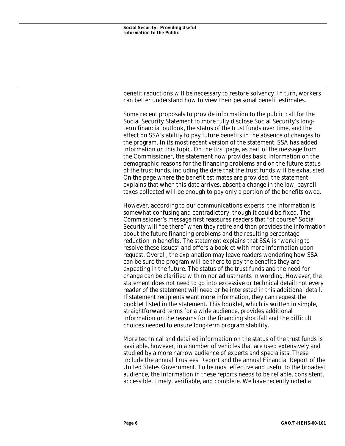benefit reductions will be necessary to restore solvency. In turn, workers can better understand how to view their personal benefit estimates.

Some recent proposals to provide information to the public call for the Social Security Statement to more fully disclose Social Security's longterm financial outlook, the status of the trust funds over time, and the effect on SSA's ability to pay future benefits in the absence of changes to the program. In its most recent version of the statement, SSA has added information on this topic. On the first page, as part of the message from the Commissioner, the statement now provides basic information on the demographic reasons for the financing problems and on the future status of the trust funds, including the date that the trust funds will be exhausted. On the page where the benefit estimates are provided, the statement explains that when this date arrives, absent a change in the law, payroll taxes collected will be enough to pay only a portion of the benefits owed.

However, according to our communications experts, the information is somewhat confusing and contradictory, though it could be fixed. The Commissioner's message first reassures readers that "of course" Social Security will "be there" when they retire and then provides the information about the future financing problems and the resulting percentage reduction in benefits. The statement explains that SSA is "working to resolve these issues" and offers a booklet with more information upon request. Overall, the explanation may leave readers wondering how SSA can be sure the program will be there to pay the benefits they are expecting in the future. The status of the trust funds and the need for change can be clarified with minor adjustments in wording. However, the statement does not need to go into excessive or technical detail; not every reader of the statement will need or be interested in this additional detail. If statement recipients want more information, they can request the booklet listed in the statement. This booklet, which is written in simple, straightforward terms for a wide audience, provides additional information on the reasons for the financing shortfall and the difficult choices needed to ensure long-term program stability.

More technical and detailed information on the status of the trust funds is available, however, in a number of vehicles that are used extensively and studied by a more narrow audience of experts and specialists. These include the annual Trustees' Report and the annual Financial Report of the United States Government. To be most effective and useful to the broadest audience, the information in these reports needs to be reliable, consistent, accessible, timely, verifiable, and complete. We have recently noted a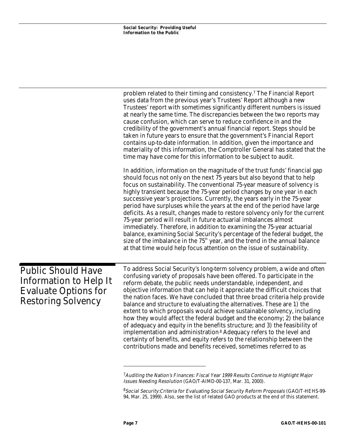|                                                                                                                 | problem related to their timing and consistency. <sup>7</sup> The Financial Report<br>uses data from the previous year's Trustees' Report although a new<br>Trustees' report with sometimes significantly different numbers is issued<br>at nearly the same time. The discrepancies between the two reports may<br>cause confusion, which can serve to reduce confidence in and the<br>credibility of the government's annual financial report. Steps should be<br>taken in future years to ensure that the government's Financial Report<br>contains up-to-date information. In addition, given the importance and<br>materiality of this information, the Comptroller General has stated that the<br>time may have come for this information to be subject to audit.                                                                                                                                                                                   |
|-----------------------------------------------------------------------------------------------------------------|----------------------------------------------------------------------------------------------------------------------------------------------------------------------------------------------------------------------------------------------------------------------------------------------------------------------------------------------------------------------------------------------------------------------------------------------------------------------------------------------------------------------------------------------------------------------------------------------------------------------------------------------------------------------------------------------------------------------------------------------------------------------------------------------------------------------------------------------------------------------------------------------------------------------------------------------------------|
|                                                                                                                 | In addition, information on the magnitude of the trust funds' financial gap<br>should focus not only on the next 75 years but also beyond that to help<br>focus on sustainability. The conventional 75-year measure of solvency is<br>highly transient because the 75-year period changes by one year in each<br>successive year's projections. Currently, the years early in the 75-year<br>period have surpluses while the years at the end of the period have large<br>deficits. As a result, changes made to restore solvency only for the current<br>75-year period will result in future actuarial imbalances almost<br>immediately. Therefore, in addition to examining the 75-year actuarial<br>balance, examining Social Security's percentage of the federal budget, the<br>size of the imbalance in the 75 <sup>th</sup> year, and the trend in the annual balance<br>at that time would help focus attention on the issue of sustainability. |
| <b>Public Should Have</b><br>Information to Help It<br><b>Evaluate Options for</b><br><b>Restoring Solvency</b> | To address Social Security's long-term solvency problem, a wide and often<br>confusing variety of proposals have been offered. To participate in the<br>reform debate, the public needs understandable, independent, and<br>objective information that can help it appreciate the difficult choices that<br>the nation faces. We have concluded that three broad criteria help provide<br>balance and structure to evaluating the alternatives. These are 1) the<br>extent to which proposals would achieve sustainable solvency, including<br>how they would affect the federal budget and the economy; 2) the balance<br>of adequacy and equity in the benefits structure; and 3) the feasibility of<br>implementation and administration <sup>8</sup> Adequacy refers to the level and<br>certainty of benefits, and equity refers to the relationship between the<br>contributions made and benefits received, sometimes referred to as              |

<sup>7</sup>Auditing the Nation's Finances: Fiscal Year <sup>1999</sup> Results Continue to Highlight Major Issues Needing Resolution (GAO/T-AIMD-00-137, Mar. 31, 2000).

<sup>8</sup>Social Security:Criteria for Evaluating Social Security Reform Proposals (GAO/T-HEHS-99- 94, Mar. 25, 1999). Also, see the list of related GAO products at the end of this statement.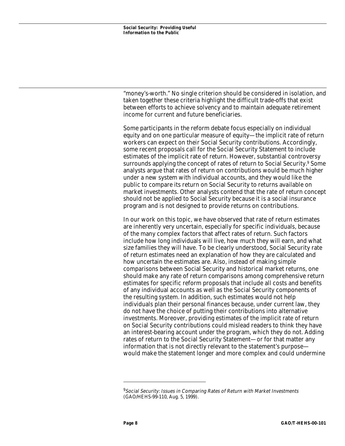"money's-worth." No single criterion should be considered in isolation, and taken together these criteria highlight the difficult trade-offs that exist between efforts to achieve solvency and to maintain adequate retirement income for current and future beneficiaries.

Some participants in the reform debate focus especially on individual equity and on one particular measure of equity—the implicit rate of return workers can expect on their Social Security contributions. Accordingly, some recent proposals call for the Social Security Statement to include estimates of the implicit rate of return. However, substantial controversy surrounds applying the concept of rates of return to Social Security.<sup>9</sup> Some analysts argue that rates of return on contributions would be much higher under a new system with individual accounts, and they would like the public to compare its return on Social Security to returns available on market investments. Other analysts contend that the rate of return concept should not be applied to Social Security because it is a social insurance program and is not designed to provide returns on contributions.

In our work on this topic, we have observed that rate of return estimates are inherently very uncertain, especially for specific individuals, because of the many complex factors that affect rates of return. Such factors include how long individuals will live, how much they will earn, and what size families they will have. To be clearly understood, Social Security rate of return estimates need an explanation of how they are calculated and how uncertain the estimates are. Also, instead of making simple comparisons between Social Security and historical market returns, one should make any rate of return comparisons among comprehensive return estimates for specific reform proposals that include all costs and benefits of any individual accounts as well as the Social Security components of the resulting system. In addition, such estimates would not help individuals plan their personal finances because, under current law, they do not have the choice of putting their contributions into alternative investments. Moreover, providing estimates of the implicit rate of return on Social Security contributions could mislead readers to think they have an interest-bearing account under the program, which they do not. Adding rates of return to the Social Security Statement—or for that matter any information that is not directly relevant to the statement's purpose would make the statement longer and more complex and could undermine

<sup>&</sup>lt;sup>9</sup>Social Security: Issues in Comparing Rates of Return with Market Investments (GAO/HEHS-99-110, Aug. 5, 1999).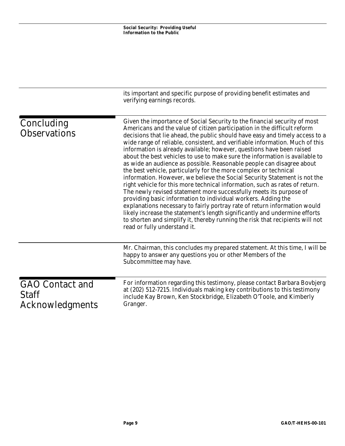|                                                                  | its important and specific purpose of providing benefit estimates and<br>verifying earnings records.                                                                                                                                                                                                                                                                                                                                                                                                                                                                                                                                                                                                                                                                                                                                                                                                                                                                                                                                                                                                                                                                                                      |
|------------------------------------------------------------------|-----------------------------------------------------------------------------------------------------------------------------------------------------------------------------------------------------------------------------------------------------------------------------------------------------------------------------------------------------------------------------------------------------------------------------------------------------------------------------------------------------------------------------------------------------------------------------------------------------------------------------------------------------------------------------------------------------------------------------------------------------------------------------------------------------------------------------------------------------------------------------------------------------------------------------------------------------------------------------------------------------------------------------------------------------------------------------------------------------------------------------------------------------------------------------------------------------------|
| Concluding<br><b>Observations</b>                                | Given the importance of Social Security to the financial security of most<br>Americans and the value of citizen participation in the difficult reform<br>decisions that lie ahead, the public should have easy and timely access to a<br>wide range of reliable, consistent, and verifiable information. Much of this<br>information is already available; however, questions have been raised<br>about the best vehicles to use to make sure the information is available to<br>as wide an audience as possible. Reasonable people can disagree about<br>the best vehicle, particularly for the more complex or technical<br>information. However, we believe the Social Security Statement is not the<br>right vehicle for this more technical information, such as rates of return.<br>The newly revised statement more successfully meets its purpose of<br>providing basic information to individual workers. Adding the<br>explanations necessary to fairly portray rate of return information would<br>likely increase the statement's length significantly and undermine efforts<br>to shorten and simplify it, thereby running the risk that recipients will not<br>read or fully understand it. |
|                                                                  | Mr. Chairman, this concludes my prepared statement. At this time, I will be<br>happy to answer any questions you or other Members of the<br>Subcommittee may have.                                                                                                                                                                                                                                                                                                                                                                                                                                                                                                                                                                                                                                                                                                                                                                                                                                                                                                                                                                                                                                        |
| <b>GAO</b> Contact and<br><b>Staff</b><br><b>Acknowledgments</b> | For information regarding this testimony, please contact Barbara Bovbjerg<br>at (202) 512-7215. Individuals making key contributions to this testimony<br>include Kay Brown, Ken Stockbridge, Elizabeth O'Toole, and Kimberly<br>Granger.                                                                                                                                                                                                                                                                                                                                                                                                                                                                                                                                                                                                                                                                                                                                                                                                                                                                                                                                                                 |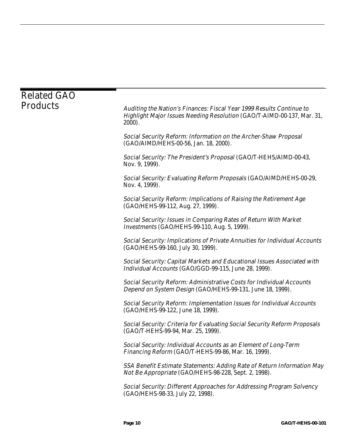| <b>Related GAO</b> |                                                                                                                                                             |
|--------------------|-------------------------------------------------------------------------------------------------------------------------------------------------------------|
| <b>Products</b>    | Auditing the Nation's Finances: Fiscal Year 1999 Results Continue to<br>Highlight Major Issues Needing Resolution (GAO/T-AIMD-00-137, Mar. 31,<br>$2000$ ). |
|                    | Social Security Reform: Information on the Archer-Shaw Proposal<br>(GAO/AIMD/HEHS-00-56, Jan. 18, 2000).                                                    |
|                    | Social Security: The President's Proposal (GAO/T-HEHS/AIMD-00-43,<br>Nov. 9, 1999).                                                                         |
|                    | Social Security: Evaluating Reform Proposals (GAO/AIMD/HEHS-00-29,<br>Nov. 4, 1999).                                                                        |
|                    | Social Security Reform: Implications of Raising the Retirement Age<br>(GAO/HEHS-99-112, Aug. 27, 1999).                                                     |
|                    | Social Security: Issues in Comparing Rates of Return With Market<br>Investments (GAO/HEHS-99-110, Aug. 5, 1999).                                            |
|                    | Social Security: Implications of Private Annuities for Individual Accounts<br>(GAO/HEHS-99-160, July 30, 1999).                                             |
|                    | Social Security: Capital Markets and Educational Issues Associated with<br>Individual Accounts (GAO/GGD-99-115, June 28, 1999).                             |
|                    | Social Security Reform: Administrative Costs for Individual Accounts<br>Depend on System Design (GAO/HEHS-99-131, June 18, 1999).                           |
|                    | <b>Social Security Reform: Implementation Issues for Individual Accounts</b><br>(GAO/HEHS-99-122, June 18, 1999).                                           |
|                    | Social Security: Criteria for Evaluating Social Security Reform Proposals<br>(GAO/T-HEHS-99-94, Mar. 25, 1999).                                             |
|                    | Social Security: Individual Accounts as an Element of Long-Term<br>Financing Reform (GAO/T-HEHS-99-86, Mar. 16, 1999).                                      |
|                    | SSA Benefit Estimate Statements: Adding Rate of Return Information May<br>Not Be Appropriate (GAO/HEHS-98-228, Sept. 2, 1998).                              |
|                    | Social Security: Different Approaches for Addressing Program Solvency<br>(GAO/HEHS-98-33, July 22, 1998).                                                   |
|                    |                                                                                                                                                             |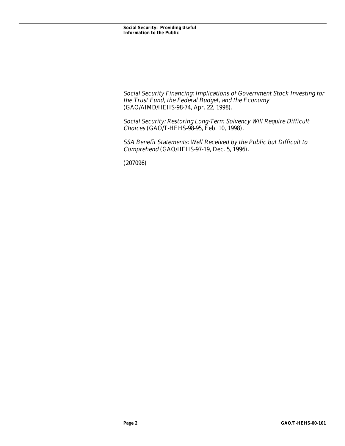Social Security Financing: Implications of Government Stock Investing for the Trust Fund, the Federal Budget, and the Economy (GAO/AIMD/HEHS-98-74, Apr. 22, 1998).

Social Security: Restoring Long-Term Solvency Will Require Difficult Choices (GAO/T-HEHS-98-95, Feb. 10, 1998).

SSA Benefit Statements: Well Received by the Public but Difficult to Comprehend (GAO/HEHS-97-19, Dec. 5, 1996).

(207096)